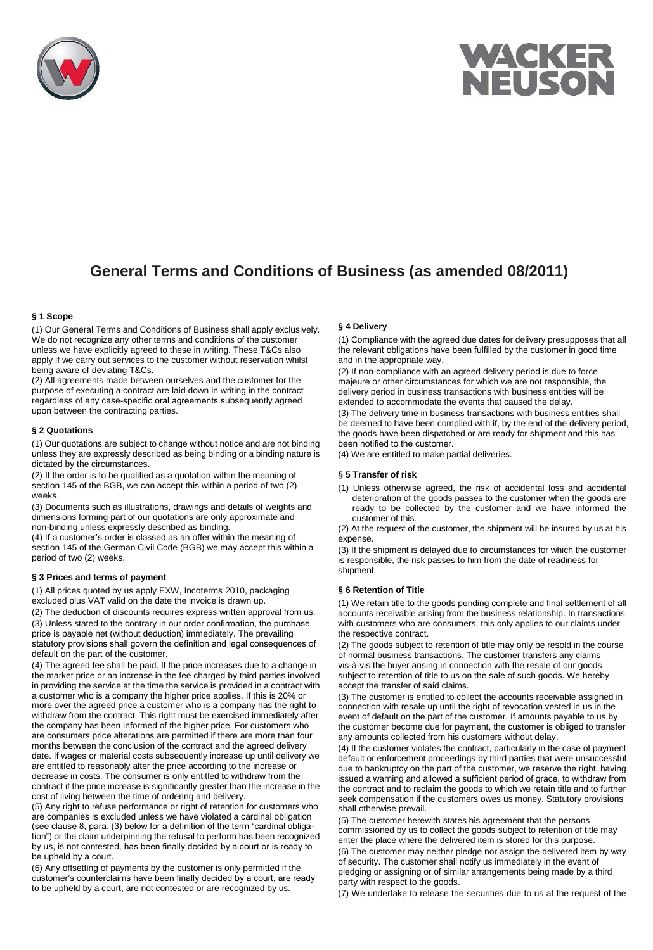



# **General Terms and Conditions of Business (as amended 08/2011)**

# **§ 1 Scope**

(1) Our General Terms and Conditions of Business shall apply exclusively. We do not recognize any other terms and conditions of the customer unless we have explicitly agreed to these in writing. These T&Cs also apply if we carry out services to the customer without reservation whilst being aware of deviating T&Cs.

(2) All agreements made between ourselves and the customer for the purpose of executing a contract are laid down in writing in the contract regardless of any case-specific oral agreements subsequently agreed upon between the contracting parties.

#### **§ 2 Quotations**

(1) Our quotations are subject to change without notice and are not binding unless they are expressly described as being binding or a binding nature is dictated by the circumstances.

(2) If the order is to be qualified as a quotation within the meaning of section 145 of the BGB, we can accept this within a period of two (2) weeks.

(3) Documents such as illustrations, drawings and details of weights and dimensions forming part of our quotations are only approximate and non-binding unless expressly described as binding.

(4) If a customer's order is classed as an offer within the meaning of section 145 of the German Civil Code (BGB) we may accept this within a period of two (2) weeks.

#### **§ 3 Prices and terms of payment**

(1) All prices quoted by us apply EXW, Incoterms 2010, packaging excluded plus VAT valid on the date the invoice is drawn up.

(2) The deduction of discounts requires express written approval from us. (3) Unless stated to the contrary in our order confirmation, the purchase price is payable net (without deduction) immediately. The prevailing statutory provisions shall govern the definition and legal consequences of default on the part of the customer.

(4) The agreed fee shall be paid. If the price increases due to a change in the market price or an increase in the fee charged by third parties involved in providing the service at the time the service is provided in a contract with a customer who is a company the higher price applies. If this is 20% or more over the agreed price a customer who is a company has the right to withdraw from the contract. This right must be exercised immediately after the company has been informed of the higher price. For customers who are consumers price alterations are permitted if there are more than four months between the conclusion of the contract and the agreed delivery date. If wages or material costs subsequently increase up until delivery we are entitled to reasonably alter the price according to the increase or decrease in costs. The consumer is only entitled to withdraw from the contract if the price increase is significantly greater than the increase in the cost of living between the time of ordering and delivery.

(5) Any right to refuse performance or right of retention for customers who are companies is excluded unless we have violated a cardinal obligation (see clause 8, para. (3) below for a definition of the term "cardinal obligation") or the claim underpinning the refusal to perform has been recognized by us, is not contested, has been finally decided by a court or is ready to be upheld by a court.

(6) Any offsetting of payments by the customer is only permitted if the customer's counterclaims have been finally decided by a court, are ready to be upheld by a court, are not contested or are recognized by us.

# **§ 4 Delivery**

(1) Compliance with the agreed due dates for delivery presupposes that all the relevant obligations have been fulfilled by the customer in good time and in the appropriate way.

(2) If non-compliance with an agreed delivery period is due to force majeure or other circumstances for which we are not responsible, the delivery period in business transactions with business entities will be extended to accommodate the events that caused the delay.

(3) The delivery time in business transactions with business entities shall be deemed to have been complied with if, by the end of the delivery period, the goods have been dispatched or are ready for shipment and this has been notified to the customer.

(4) We are entitled to make partial deliveries.

### **§ 5 Transfer of risk**

(1) Unless otherwise agreed, the risk of accidental loss and accidental deterioration of the goods passes to the customer when the goods are ready to be collected by the customer and we have informed the customer of this.

(2) At the request of the customer, the shipment will be insured by us at his expense.

(3) If the shipment is delayed due to circumstances for which the customer is responsible, the risk passes to him from the date of readiness for shipment.

#### **§ 6 Retention of Title**

(1) We retain title to the goods pending complete and final settlement of all accounts receivable arising from the business relationship. In transactions with customers who are consumers, this only applies to our claims under the respective contract.

(2) The goods subject to retention of title may only be resold in the course of normal business transactions. The customer transfers any claims vis-à-vis the buyer arising in connection with the resale of our goods subject to retention of title to us on the sale of such goods. We hereby accept the transfer of said claims.

(3) The customer is entitled to collect the accounts receivable assigned in connection with resale up until the right of revocation vested in us in the event of default on the part of the customer. If amounts payable to us by the customer become due for payment, the customer is obliged to transfer any amounts collected from his customers without delay.

(4) If the customer violates the contract, particularly in the case of payment default or enforcement proceedings by third parties that were unsuccessful due to bankruptcy on the part of the customer, we reserve the right, having issued a warning and allowed a sufficient period of grace, to withdraw from the contract and to reclaim the goods to which we retain title and to further seek compensation if the customers owes us money. Statutory provisions shall otherwise prevail.

(5) The customer herewith states his agreement that the persons commissioned by us to collect the goods subject to retention of title may enter the place where the delivered item is stored for this purpose.

(6) The customer may neither pledge nor assign the delivered item by way of security. The customer shall notify us immediately in the event of pledging or assigning or of similar arrangements being made by a third party with respect to the goods.

(7) We undertake to release the securities due to us at the request of the